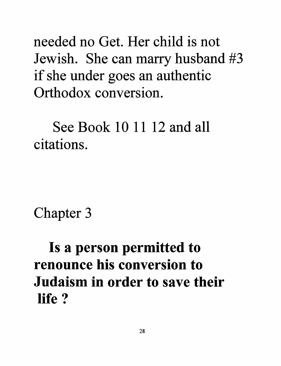needed no Get. Her child is not Jewish. She can marry husband #3 if she under goes an authentic Orthodox conversion.

See Book 10 11 12 and all citations.

Chapter 3

Is a person permitted to renounce his conversion to Judaism in order to save their life?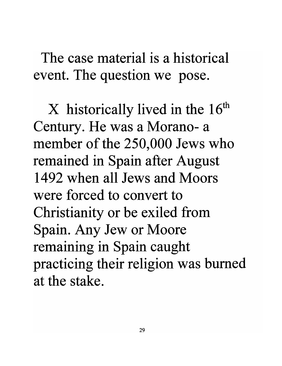The case material is a historical event. The question we pose.

 $X$  historically lived in the  $16<sup>th</sup>$ Century. He was a Morano- a member of the 250,000 Jews who remained in Spain after August 1492 when all Jews and Moors were forced to convert to Christianity or be exiled from Spain. Any Jew or Moore remaining in Spain caught practicing their religion was burned at the stake.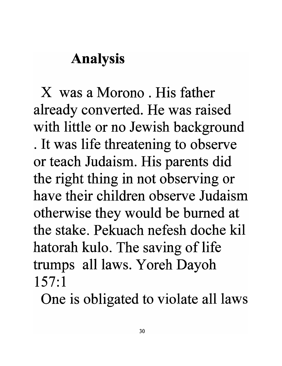## Analysis

X was a Morono . His father already converted. He was raised with little or no Jewish background . It was life threatening to observe or teach Judaism. His parents did the right thing in not observing or have their children observe Judaism otherwise they would be burned at the stake. Pekuach nefesh doche kil hatorah kulo. The saving of life trumps all laws. Y oreh Dayoh 157:1

One is obligated to violate all laws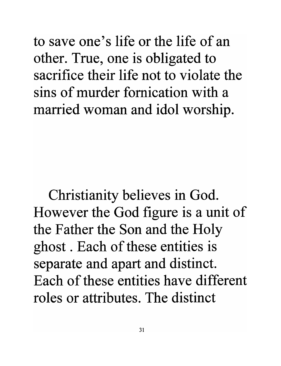to save one's life or the life of an other. True, one is obligated to sacrifice their life not to violate the sins of murder fornication with a married woman and idol worship.

Christianity believes in God. However the God figure is a unit of the Father the Son and the Holy ghost . Each of these entities is separate and apart and distinct. Each of these entities have different roles or attributes. The distinct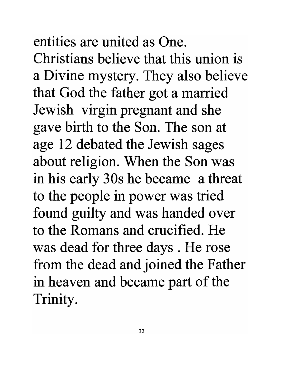entities are united as One. Christians believe that this union is a Divine mystery. They also believe that God the father got a married Jewish virgin pregnant and she gave birth to the Son. The son at age 12 debated the Jewish sages about religion. When the Son was in his early 30s he became a threat to the people in power was tried found guilty and was handed over to the Romans and crucified. He was dead for three days . He rose from the dead and joined the Father in heaven and became part of the Trinity.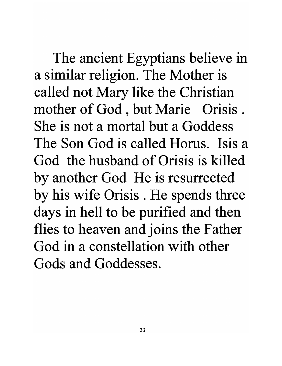The ancient Egyptians believe in a similar religion. The Mother is called not Mary like the Christian mother of God, but Marie Orisis. She is not a mortal but a Goddess The Son God is called Horus. Isis a God the husband of Orisis is killed by another God He is resurrected by his wife Orisis . He spends three days in hell to be purified and then flies to heaven and joins the Father God in a constellation with other Gods and Goddesses.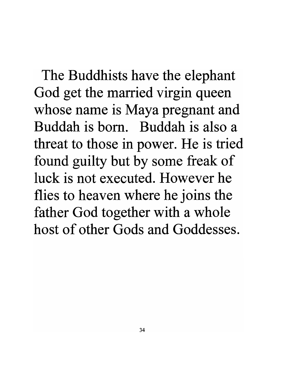The Buddhists have the elephant God get the married virgin queen whose name is Maya pregnant and Buddah is born. Buddah is also a threat to those in power. He is tried found guilty but by some freak of luck is not executed. However he flies to heaven where he joins the father God together with a whole host of other Gods and Goddesses.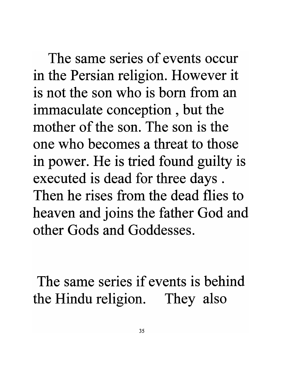The same series of events occur in the Persian religion. However it is not the son who is born from an immaculate conception , but the mother of the son. The son is the one who becomes a threat to those in power. He is tried found guilty is executed is dead for three days . Then he rises from the dead flies to heaven and joins the father God and other Gods and Goddesses.

The same series if events is behind the Hindu religion. They also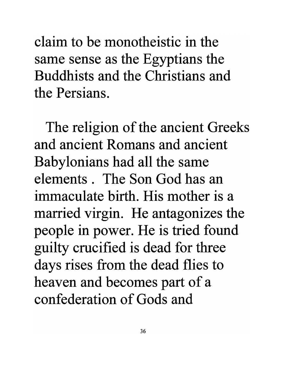claim to be monotheistic in the same sense as the Egyptians the Buddhists and the Christians and the Persians.

The religion of the ancient Greeks and ancient Romans and ancient Babylonians had all the same elements. The Son God has an immaculate birth. His mother is a married virgin. He antagonizes the people in power. He is tried found guilty crucified is dead for three days rises from the dead flies to heaven and becomes part of a confederation of Gods and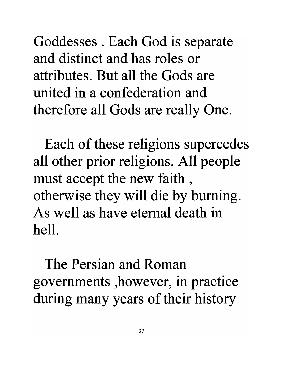Goddesses . Each God is separate and distinct and has roles or attributes. But all the Gods are united in a confederation and therefore all Gods are really One.

Each of these religions supercedes all other prior religions. All people must accept the new faith , otherwise they will die by burning. As well as have eternal death in hell.

The Persian and Roman governments ,however, in practice during many years of their history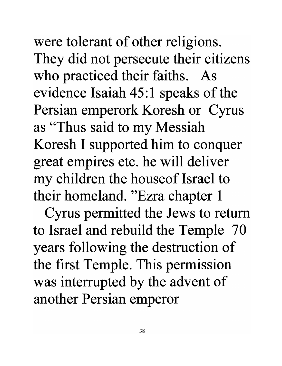were tolerant of other religions. They did not persecute their citizens who practiced their faiths. As evidence Isaiah 45:1 speaks of the Persian emperork Koresh or Cyrus as "Thus said to my Messiah Koresh I supported him to conquer great empires etc. he will deliver my children the houseof Israel to their homeland. "Ezra chapter 1

Cyrus permitted the Jews to return to Israel and rebuild the Temple 70 years following the destruction of the first Temple. This permission was interrupted by the advent of another Persian emperor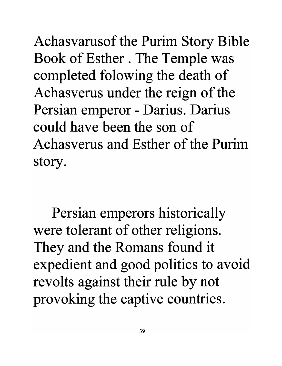Achasvarusof the Purim Story Bible Book of Esther. The Temple was completed folowing the death of Achasverus under the reign of the Persian emperor - Darius. Darius could have been the son of Achasverus and Esther of the Purim story.

Persian emperors historically were tolerant of other religions. They and the Romans found it expedient and good politics to avoid revolts against their rule by not provoking the captive countries.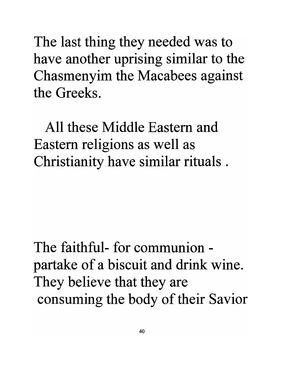The last thing they needed was to have another uprising similar to the Chasmenyim the Macabees against the Greeks.

All these Middle Eastern and Eastern religions as well as Christianity have similar rituals .

The faithful- for communionpartake of a biscuit and drink wine. They believe that they are consuming the body of their Savior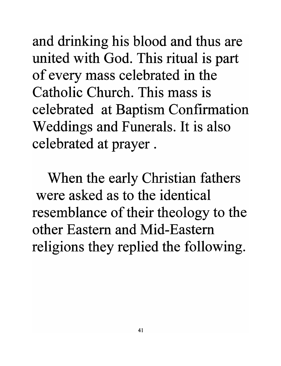and drinking his blood and thus are united with God. This ritual is part of every mass celebrated in the Catholic Church. This mass is celebrated at Baptism Confirmation Weddings and Funerals. It is also celebrated at prayer.

When the early Christian fathers were asked as to the identical resemblance of their theology to the other Eastern and Mid-Eastern religions they replied the following.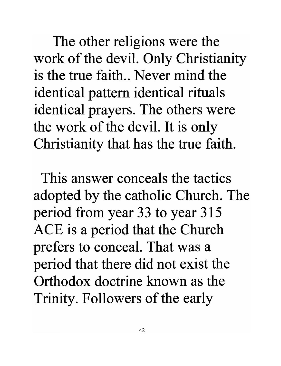The other religions were the work of the devil. Only Christianity is the true faith.. Never mind the identical pattern identical rituals identical prayers. The others were the work of the devil. It is only Christianity that has the true faith.

This answer conceals the tactics adopted by the catholic Church. The period from year 33 to year 315 ACE is a period that the Church prefers to conceal. That was a period that there did not exist the Orthodox doctrine known as the Trinity. Followers of the early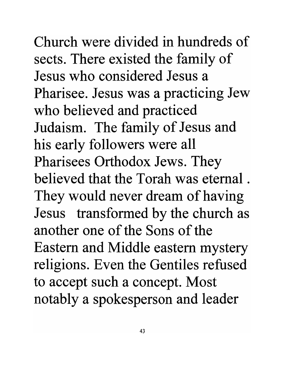## Church were divided in hundreds of sects. There existed the family of Jesus who considered Jesus a

Pharisee. Jesus was a practicing Jew who believed and practiced Judaism. The family of Jesus and his early followers were all Pharisees Orthodox Jews. They believed that the Torah was eternal. They would never dream of having Jesus transformed by the church as another one of the Sons of the Eastern and Middle eastern mystery religions. Even the Gentiles refused to accept such a concept. Most notably a spokesperson and leader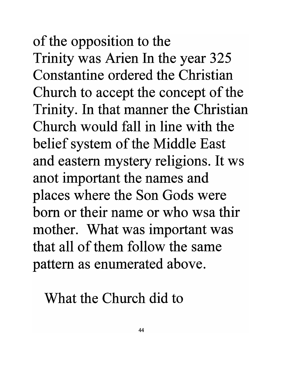## of the opposition to the Trinity was Arien In the year 325 Constantine ordered the Christian Church to accept the concept of the Trinity. In that manner the Christian Church would fall in line with the belief system of the Middle East and eastern mystery religions. It ws anot important the names and places where the Son Gods were born or their name or who wsa thir mother. What was important was that all of them follow the same pattern as enumerated above.

What the Church did to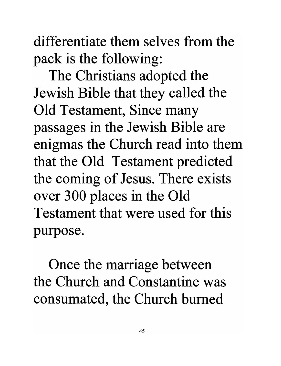differentiate them selves from the pack is the following:

The Christians adopted the Jewish Bible that they called the Old Testament, Since many passages in the Jewish Bible are enigmas the Church read into them that the Old Testament predicted the coming of Jesus. There exists over 300 places in the Old Testament that were used for this purpose.

Once the marriage between the Church and Constantine was consumated, the Church burned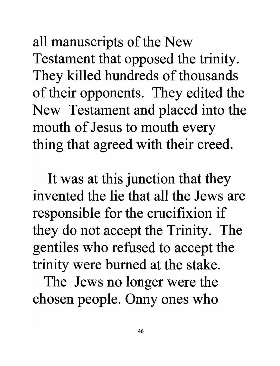all manuscripts of the New Testament that opposed the trinity. They killed hundreds of thousands of their opponents. They edited the New Testament and placed into the mouth of Jesus to mouth every thing that agreed with their creed.

It was at this junction that they invented the lie that all the Jews are responsible for the crucifixion if they do not accept the Trinity. The gentiles who refused to accept the trinity were burned at the stake.

The Jews no longer were the chosen people. Onny ones who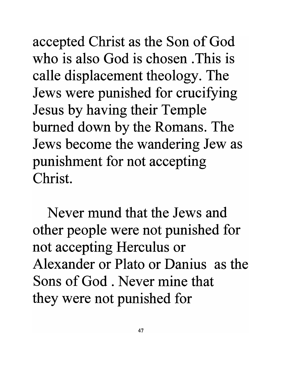accepted Christ as the Son of God who is also God is chosen. This is calle displacement theology. The Jews were punished for crucifying Jesus by having their Temple burned down by the Romans. The Jews become the wandering Jew as punishment for not accepting Christ.

Never mund that the Jews and other people were not punished for not accepting Herculus or Alexander or Plato or Danius as the Sons of God. Never mine that they were not punished for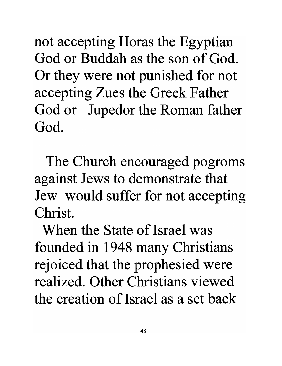not accepting Horas the Egyptian God or Buddah as the son of God. Or they were not punished for not accepting Zues the Greek Father God or Jupedor the Roman father God.

The Church encouraged pogroms against Jews to demonstrate that Jew would suffer for not accepting Christ.

When the State of Israel was founded in 1948 many Christians rejoiced that the prophesied were realized. Other Christians viewed the creation of Israel as a set back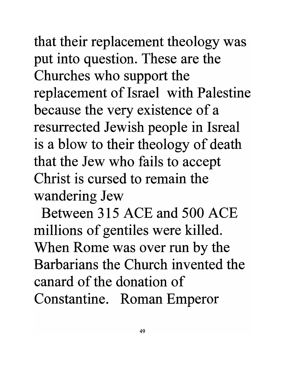that their replacement theology was put into question. These are the Churches who support the replacement of Israel with Palestine because the very existence of a resurrected Jewish people in Isreal is a blow to their theology of death that the Jew who fails to accept Christ is cursed to remain the wandering Jew

Between 315 ACE and 500 ACE millions of gentiles were killed. When Rome was over run by the Barbarians the Church invented the canard of the donation of Constantine. Roman Emperor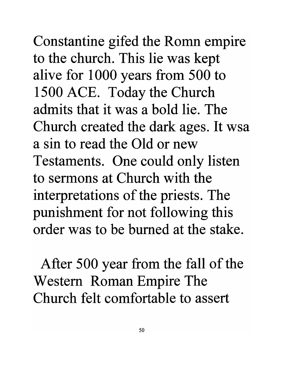Constantine gifed the Romn empire to the church. This lie was kept alive for 1 000 years from 500 to 1500 ACE. Today the Church admits that it was a bold lie. The Church created the dark ages. It wsa a sin to read the Old or new Testaments. One could only listen to sermons at Church with the interpretations of the priests. The punishment for not following this order was to be burned at the stake.

After 500 year from the fall of the Western Roman Empire The Church felt comfortable to assert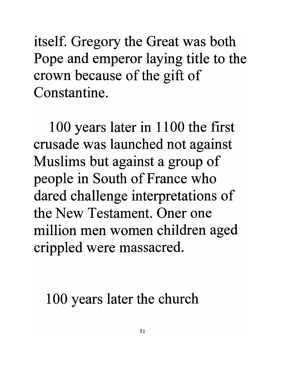itself. Gregory the Great was both Pope and emperor laying title to the crown because of the gift of Constantine.

100 years later in 1100 the first crusade was launched not against Muslims but against a group of people in South of France who dared challenge interpretations of the New Testament. Oner one million men women children aged crippled were massacred.

100 years later the church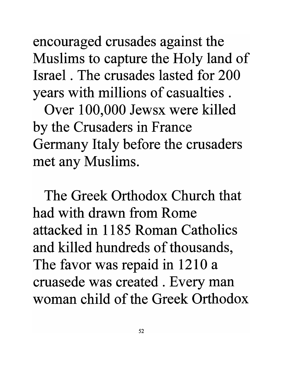encouraged crusades against the Muslims to capture the Holy land of Israel . The crusades lasted for 200 years with millions of casualties .

Over 100,000 Jewsx were killed by the Crusaders in France Germany Italy before the crusaders met any Muslims.

The Greek Orthodox Church that had with drawn from Rome attacked in 1185 Roman Catholics and killed hundreds of thousands, The favor was repaid in 1210 a cruasede was created . Every man woman child of the Greek Orthodox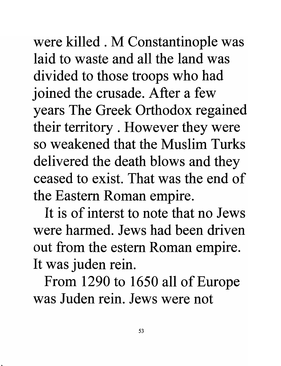were killed . M Constantinople was laid to waste and all the land was divided to those troops who had joined the crusade. After a few years The Greek Orthodox regained their territory . However they were so weakened that the Muslim Turks delivered the death blows and they ceased to exist. That was the end of the Eastern Roman empire.

It is of interst to note that no Jews were harmed. Jews had been driven out from the estern Roman empire. It was juden rein.

From 1290 to 1650 all of Europe was Juden rein. Jews were not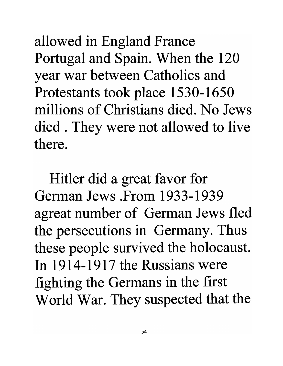allowed in England France Portugal and Spain. When the 120 year war between Catholics and Protestants took place 1530-1650 millions of Christians died. No Jews died . They were not allowed to live there.

Hitler did a great favor for German Jews .From 1933-1939 agreat number of German Jews fled the persecutions in Germany. Thus these people survived the holocaust. In 1914-1917 the Russians were fighting the Germans in the first World War. They suspected that the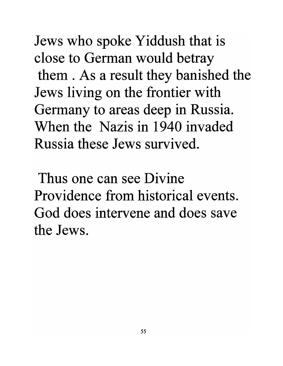Jews who spoke Yiddush that is close to German would betray them . As a result they banished the Jews living on the frontier with Germany to areas deep in Russia. When the Nazis in 1940 invaded Russia these Jews survived.

Thus one can see Divine Providence from historical events. God does intervene and does save the Jews.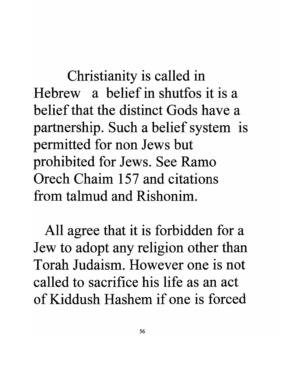Christianity is called in Hebrew a belief in shutfos it is a belief that the distinct Gods have a partnership. Such a belief system is permitted for non Jews but prohibited for Jews. See Ramo Orech Chaim 157 and citations from talmud and Rishonim.

All agree that it is forbidden for a Jew to adopt any religion other than Torah Judaism. However one is not called to sacrifice his life as an act of Kiddush Hashem if one is forced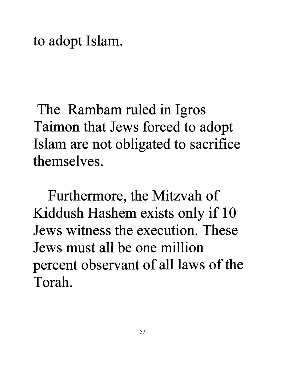to adopt Islam.

The Rambam ruled in Igros Taimon that Jews forced to adopt Islam are not obligated to sacrifice themselves.

Furthermore, the Mitzvah of Kiddush Hashem exists only if 10 Jews witness the execution. These Jews must all be one million percent observant of all laws of the Torah.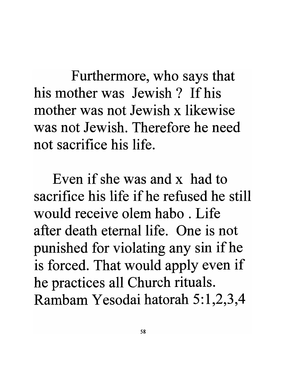Furthermore, who says that his mother was Jewish? Ifhis mother was not Jewish x likewise was not Jewish. Therefore he need not sacrifice his life.

Even if she was and x had to sacrifice his life if he refused he still would receive olem habo . Life after death eternal life. One is not punished for violating any sin ifhe is forced. That would apply even if he practices all Church rituals. Rambam Yesodai hatorah 5:1,2,3,4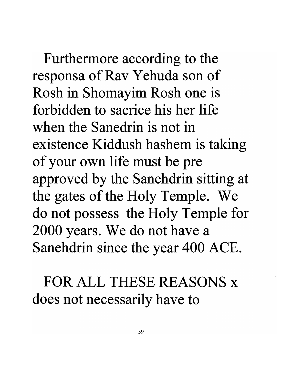Furthermore according to the responsa of Rav Yehuda son of Rosh in Shomayim Rosh one is forbidden to sacrice his her life when the Sanedrin is not in existence Kiddush hashem is taking of your own life must be pre approved by the Sanehdrin sitting at the gates of the Holy Temple. We do not possess the Holy Temple for 2000 years. We do not have a Sanehdrin since the year 400 ACE.

FOR ALL THESE REASONS x does not necessarily have to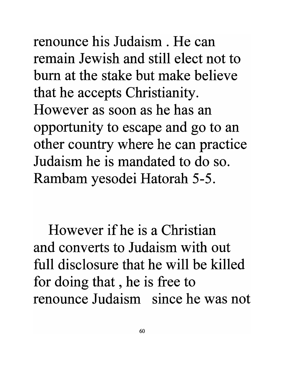renounce his Judaism. He can remain Jewish and still elect not to bum at the stake but make believe that he accepts Christianity. However as soon as he has an opportunity to escape and go to an other country where he can practice Judaism he is mandated to do so. Rambam yesodei Hatorah 5-5.

However if he is a Christian and converts to Judaism with out full disclosure that he will be killed for doing that , he is free to renounce Judaism since he was not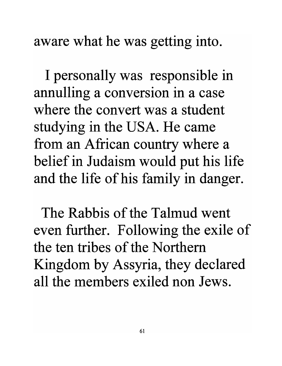aware what he was getting into.

I personally was responsible in annulling a conversion in a case where the convert was a student studying in the USA. He came from an African country where a belief in Judaism would put his life and the life of his family in danger.

The Rabbis of the Talmud went even further. Following the exile of the ten tribes of the Northern Kingdom by Assyria, they declared all the members exiled non Jews.